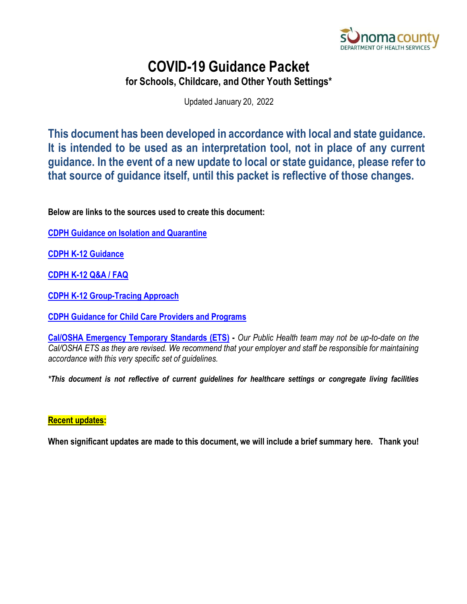

# **COVID-19 Guidance Packet**

**for Schools, Childcare, and Other Youth Settings\***

Updated January 20, 2022

**This document has been developed in accordance with local and state guidance. It is intended to be used as an interpretation tool, not in place of any current guidance. In the event of a new update to local or state guidance, please refer to that source of guidance itself, until this packet is reflective of those changes.** 

**Below are links to the sources used to create this document:** 

**[CDPH Guidance on Isolation and Quarantine](https://www.cdph.ca.gov/Programs/CID/DCDC/Pages/COVID-19/Guidance-on-Isolation-and-Quarantine-for-COVID-19-Contact-Tracing.aspx)**

**[CDPH K-12 Guidance](https://www.cdph.ca.gov/Programs/CID/DCDC/Pages/COVID-19/K-12-Guidance-2021-22-School-Year.aspx)**

**[CDPH K-12 Q&A / FAQ](https://www.cdph.ca.gov/Programs/CID/DCDC/Pages/COVID-19/Schools-FAQ.aspx)**

**[CDPH K-12 Group-Tracing Approach](https://www.cdph.ca.gov/Programs/CID/DCDC/Pages/COVID-19/Group-Tracing-Approach-to-Students-Exposed-to-COVID-19.aspx)**

**[CDPH Guidance for Child Care Providers and Programs](https://www.cdph.ca.gov/Programs/CID/DCDC/Pages/COVID-19/Child-Care-Guidance.aspx)**

**[Cal/OSHA Emergency Temporary Standards \(ETS\)](https://www.dir.ca.gov/dosh/coronavirus/ETS.html) -** *Our Public Health team may not be up-to-date on the Cal/OSHA ETS as they are revised. We recommend that your employer and staff be responsible for maintaining accordance with this very specific set of guidelines.*

*\*This document is not reflective of current guidelines for healthcare settings or congregate living facilities*

#### **Recent updates:**

**When significant updates are made to this document, we will include a brief summary here. Thank you!**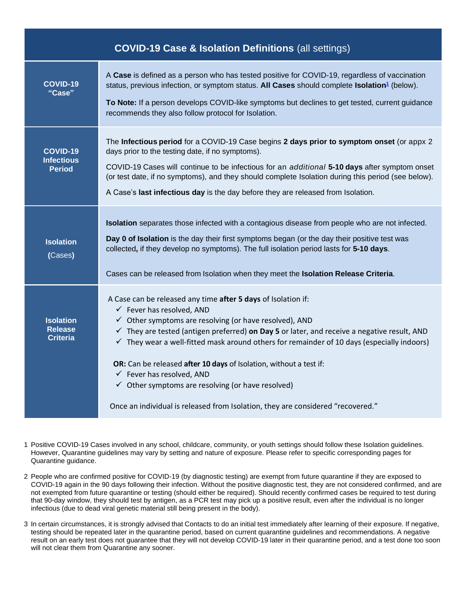<span id="page-1-1"></span>

| <b>COVID-19 Case &amp; Isolation Definitions (all settings)</b> |                                                                                                                                                                                                           |  |  |
|-----------------------------------------------------------------|-----------------------------------------------------------------------------------------------------------------------------------------------------------------------------------------------------------|--|--|
| <b>COVID-19</b><br>"Case"                                       | A Case is defined as a person who has tested positive for COVID-19, regardless of vaccination<br>status, previous infection, or symptom status. All Cases should complete Isolation <sup>1</sup> (below). |  |  |
|                                                                 | To Note: If a person develops COVID-like symptoms but declines to get tested, current guidance<br>recommends they also follow protocol for Isolation.                                                     |  |  |
| <b>COVID-19</b><br><b>Infectious</b><br><b>Period</b>           | The Infectious period for a COVID-19 Case begins 2 days prior to symptom onset (or appx 2<br>days prior to the testing date, if no symptoms).                                                             |  |  |
|                                                                 | COVID-19 Cases will continue to be infectious for an additional 5-10 days after symptom onset<br>(or test date, if no symptoms), and they should complete Isolation during this period (see below).       |  |  |
|                                                                 | A Case's last infectious day is the day before they are released from Isolation.                                                                                                                          |  |  |
|                                                                 | Isolation separates those infected with a contagious disease from people who are not infected.                                                                                                            |  |  |
| <b>Isolation</b><br>(Cases)                                     | Day 0 of Isolation is the day their first symptoms began (or the day their positive test was<br>collected, if they develop no symptoms). The full isolation period lasts for 5-10 days.                   |  |  |
|                                                                 | Cases can be released from Isolation when they meet the Isolation Release Criteria.                                                                                                                       |  |  |
|                                                                 | A Case can be released any time after 5 days of Isolation if:<br>$\checkmark$ Fever has resolved, AND                                                                                                     |  |  |
| <b>Isolation</b><br><b>Release</b>                              | $\checkmark$ Other symptoms are resolving (or have resolved), AND<br>$\checkmark$ They are tested (antigen preferred) on Day 5 or later, and receive a negative result, AND                               |  |  |
| <b>Criteria</b>                                                 | $\checkmark$ They wear a well-fitted mask around others for remainder of 10 days (especially indoors)                                                                                                     |  |  |
|                                                                 | OR: Can be released after 10 days of Isolation, without a test if:<br>$\checkmark$ Fever has resolved, AND                                                                                                |  |  |
|                                                                 | $\checkmark$ Other symptoms are resolving (or have resolved)                                                                                                                                              |  |  |
|                                                                 | Once an individual is released from Isolation, they are considered "recovered."                                                                                                                           |  |  |

<span id="page-1-3"></span><span id="page-1-0"></span>1 Positive COVID-19 Cases involved in any school, childcare, community, or youth settings should follow these Isolation guidelines. However, Quarantine guidelines may vary by setting and nature of exposure. Please refer to specific corresponding pages for Quarantine guidance.

- <span id="page-1-2"></span>2 People who are confirmed positive for COVID-19 (by diagnostic testing) are exempt from future quarantine if they are exposed to COVID-19 again in the 90 days following their infection. Without the positive diagnostic test, they are not considered confirmed, and are not exempted from future quarantine or testing (should either be required). Should recently confirmed cases be required to test during that 90-day window, they should test by antigen, as a PCR test may pick up a positive result, even after the individual is no longer infectious (due to dead viral genetic material still being present in the body).
- 3 In certain circumstances, it is strongly advised that Contacts to do an initial test immediately after learning of their exposure. If negative, testing should be repeated later in the quarantine period, based on current quarantine guidelines and recommendations. A negative result on an early test does not guarantee that they will not develop COVID-19 later in their quarantine period, and a test done too soon will not clear them from Quarantine any sooner.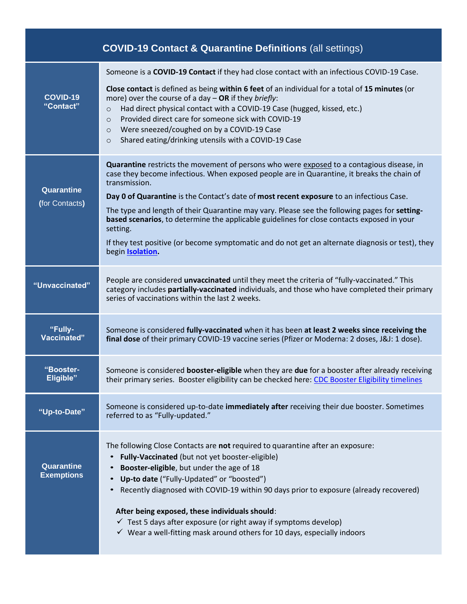<span id="page-2-0"></span>

|                                 | <b>COVID-19 Contact &amp; Quarantine Definitions (all settings)</b>                                                                                                                                                                                                                                                                                                                                                                                                                                                                                                                                                                              |
|---------------------------------|--------------------------------------------------------------------------------------------------------------------------------------------------------------------------------------------------------------------------------------------------------------------------------------------------------------------------------------------------------------------------------------------------------------------------------------------------------------------------------------------------------------------------------------------------------------------------------------------------------------------------------------------------|
| COVID-19<br>"Contact"           | Someone is a COVID-19 Contact if they had close contact with an infectious COVID-19 Case.<br>Close contact is defined as being within 6 feet of an individual for a total of 15 minutes (or<br>more) over the course of a day $-$ OR if they briefly:<br>Had direct physical contact with a COVID-19 Case (hugged, kissed, etc.)<br>$\circ$<br>Provided direct care for someone sick with COVID-19<br>$\circ$<br>Were sneezed/coughed on by a COVID-19 Case<br>$\circ$<br>Shared eating/drinking utensils with a COVID-19 Case<br>$\circ$                                                                                                        |
| Quarantine<br>(for Contacts)    | Quarantine restricts the movement of persons who were exposed to a contagious disease, in<br>case they become infectious. When exposed people are in Quarantine, it breaks the chain of<br>transmission.<br>Day 0 of Quarantine is the Contact's date of most recent exposure to an infectious Case.<br>The type and length of their Quarantine may vary. Please see the following pages for setting-<br>based scenarios, to determine the applicable guidelines for close contacts exposed in your<br>setting.<br>If they test positive (or become symptomatic and do not get an alternate diagnosis or test), they<br>begin <b>Isolation</b> . |
| "Unvaccinated"                  | People are considered unvaccinated until they meet the criteria of "fully-vaccinated." This<br>category includes partially-vaccinated individuals, and those who have completed their primary<br>series of vaccinations within the last 2 weeks.                                                                                                                                                                                                                                                                                                                                                                                                 |
| "Fully-<br><b>Vaccinated"</b>   | Someone is considered fully-vaccinated when it has been at least 2 weeks since receiving the<br>final dose of their primary COVID-19 vaccine series (Pfizer or Moderna: 2 doses, J&J: 1 dose).                                                                                                                                                                                                                                                                                                                                                                                                                                                   |
| "Booster-<br><b>Eligible"</b>   | Someone is considered <b>booster-eligible</b> when they are due for a booster after already receiving<br>their primary series. Booster eligibility can be checked here: CDC Booster Eligibility timelines                                                                                                                                                                                                                                                                                                                                                                                                                                        |
| "Up-to-Date"                    | Someone is considered up-to-date immediately after receiving their due booster. Sometimes<br>referred to as "Fully-updated."                                                                                                                                                                                                                                                                                                                                                                                                                                                                                                                     |
| Quarantine<br><b>Exemptions</b> | The following Close Contacts are not required to quarantine after an exposure:<br>Fully-Vaccinated (but not yet booster-eligible)<br>$\bullet$<br>Booster-eligible, but under the age of 18<br>Up-to date ("Fully-Updated" or "boosted")<br>$\bullet$<br>Recently diagnosed with COVID-19 within 90 days prior to exposure (already recovered)<br>After being exposed, these individuals should:<br>$\checkmark$ Test 5 days after exposure (or right away if symptoms develop)<br>$\checkmark$ Wear a well-fitting mask around others for 10 days, especially indoors                                                                           |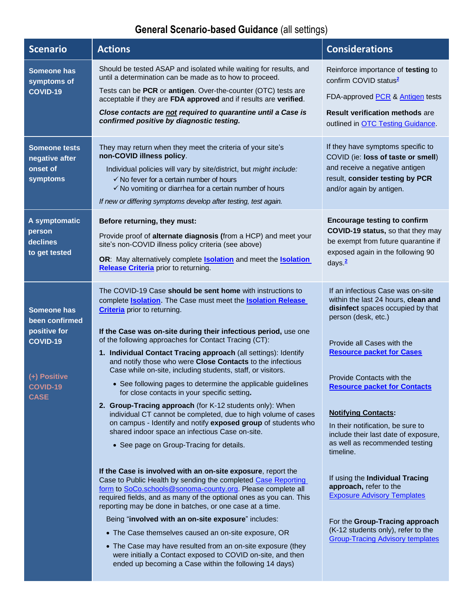## **General Scenario‐based Guidance** (all settings)

| <b>Scenario</b>                                                                                             | <b>Actions</b>                                                                                                                                                                                                                                                                                                                                                                                                                                                                                                                                                                                                                                                                                                                                                                                                                                                                                                                                                                                                                                                                                                                                                                                                                                                                                                      | <b>Considerations</b>                                                                                                                                                                                                                                                                                                                                                                                                                                                                                                                   |
|-------------------------------------------------------------------------------------------------------------|---------------------------------------------------------------------------------------------------------------------------------------------------------------------------------------------------------------------------------------------------------------------------------------------------------------------------------------------------------------------------------------------------------------------------------------------------------------------------------------------------------------------------------------------------------------------------------------------------------------------------------------------------------------------------------------------------------------------------------------------------------------------------------------------------------------------------------------------------------------------------------------------------------------------------------------------------------------------------------------------------------------------------------------------------------------------------------------------------------------------------------------------------------------------------------------------------------------------------------------------------------------------------------------------------------------------|-----------------------------------------------------------------------------------------------------------------------------------------------------------------------------------------------------------------------------------------------------------------------------------------------------------------------------------------------------------------------------------------------------------------------------------------------------------------------------------------------------------------------------------------|
| Someone has<br>symptoms of<br>COVID-19                                                                      | Should be tested ASAP and isolated while waiting for results, and<br>until a determination can be made as to how to proceed.<br>Tests can be PCR or antigen. Over-the-counter (OTC) tests are<br>acceptable if they are FDA approved and if results are verified.<br>Close contacts are not required to quarantine until a Case is<br>confirmed positive by diagnostic testing.                                                                                                                                                                                                                                                                                                                                                                                                                                                                                                                                                                                                                                                                                                                                                                                                                                                                                                                                     | Reinforce importance of testing to<br>confirm COVID status <sup>2</sup><br>FDA-approved PCR & Antigen tests<br><b>Result verification methods are</b><br>outlined in <b>OTC Testing Guidance</b> .                                                                                                                                                                                                                                                                                                                                      |
| <b>Someone tests</b><br>negative after<br>onset of<br>symptoms                                              | They may return when they meet the criteria of your site's<br>non-COVID illness policy.<br>Individual policies will vary by site/district, but might include:<br>$\checkmark$ No fever for a certain number of hours<br>$\checkmark$ No vomiting or diarrhea for a certain number of hours<br>If new or differing symptoms develop after testing, test again.                                                                                                                                                                                                                                                                                                                                                                                                                                                                                                                                                                                                                                                                                                                                                                                                                                                                                                                                                       | If they have symptoms specific to<br>COVID (ie: loss of taste or smell)<br>and receive a negative antigen<br>result, consider testing by PCR<br>and/or again by antigen.                                                                                                                                                                                                                                                                                                                                                                |
| A symptomatic<br>person<br>declines<br>to get tested                                                        | Before returning, they must:<br>Provide proof of alternate diagnosis (from a HCP) and meet your<br>site's non-COVID illness policy criteria (see above)<br>OR: May alternatively complete <b>Isolation</b> and meet the <b>Isolation</b><br><b>Release Criteria</b> prior to returning.                                                                                                                                                                                                                                                                                                                                                                                                                                                                                                                                                                                                                                                                                                                                                                                                                                                                                                                                                                                                                             | <b>Encourage testing to confirm</b><br>COVID-19 status, so that they may<br>be exempt from future quarantine if<br>exposed again in the following 90<br>days $\frac{2}{3}$                                                                                                                                                                                                                                                                                                                                                              |
| Someone has<br>been confirmed<br>positive for<br>COVID-19<br>(+) Positive<br><b>COVID-19</b><br><b>CASE</b> | The COVID-19 Case should be sent home with instructions to<br>complete <b>Isolation</b> . The Case must meet the <b>Isolation Release</b><br><b>Criteria</b> prior to returning.<br>If the Case was on-site during their infectious period, use one<br>of the following approaches for Contact Tracing (CT):<br>1. Individual Contact Tracing approach (all settings): Identify<br>and notify those who were Close Contacts to the infectious<br>Case while on-site, including students, staff, or visitors.<br>• See following pages to determine the applicable guidelines<br>for close contacts in your specific setting.<br>2. Group-Tracing approach (for K-12 students only): When<br>individual CT cannot be completed, due to high volume of cases<br>on campus - Identify and notify exposed group of students who<br>shared indoor space an infectious Case on-site.<br>• See page on Group-Tracing for details.<br>If the Case is involved with an on-site exposure, report the<br>Case to Public Health by sending the completed Case Reporting<br>form to SoCo.schools@sonoma-county.org. Please complete all<br>required fields, and as many of the optional ones as you can. This<br>reporting may be done in batches, or one case at a time.<br>Being "involved with an on-site exposure" includes: | If an infectious Case was on-site<br>within the last 24 hours, clean and<br>disinfect spaces occupied by that<br>person (desk, etc.)<br>Provide all Cases with the<br><b>Resource packet for Cases</b><br>Provide Contacts with the<br><b>Resource packet for Contacts</b><br><b>Notifying Contacts:</b><br>In their notification, be sure to<br>include their last date of exposure,<br>as well as recommended testing<br>timeline.<br>If using the Individual Tracing<br>approach, refer to the<br><b>Exposure Advisory Templates</b> |
|                                                                                                             | • The Case themselves caused an on-site exposure, OR<br>• The Case may have resulted from an on-site exposure (they<br>were initially a Contact exposed to COVID on-site, and then<br>ended up becoming a Case within the following 14 days)                                                                                                                                                                                                                                                                                                                                                                                                                                                                                                                                                                                                                                                                                                                                                                                                                                                                                                                                                                                                                                                                        | For the Group-Tracing approach<br>(K-12 students only), refer to the<br><b>Group-Tracing Advisory templates</b>                                                                                                                                                                                                                                                                                                                                                                                                                         |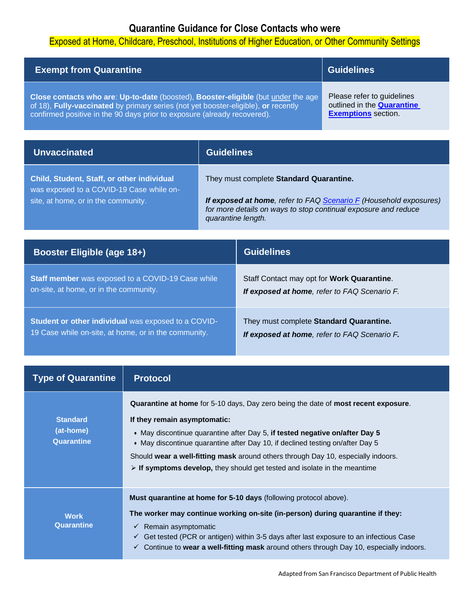## **Quarantine Guidance for Close Contacts who were**

### Exposed at Home, Childcare, Preschool, Institutions of Higher Education, or Other Community Settings

| <b>Exempt from Quarantine</b>                                                            | <b>Guidelines</b>                 |
|------------------------------------------------------------------------------------------|-----------------------------------|
| <b>Close contacts who are: Up-to-date (boosted), Booster-eligible (but under the age</b> | Please refer to guidelines        |
| of 18), Fully-vaccinated by primary series (not yet booster-eligible), or recently       | outlined in the <b>Quarantine</b> |
| confirmed positive in the 90 days prior to exposure (already recovered).                 | <b>Exemptions</b> section.        |

| <b>Unvaccinated</b>                                                                                                           | <b>Guidelines</b>  |                                                                                                                                                                                       |
|-------------------------------------------------------------------------------------------------------------------------------|--------------------|---------------------------------------------------------------------------------------------------------------------------------------------------------------------------------------|
| Child, Student, Staff, or other individual<br>was exposed to a COVID-19 Case while on-<br>site, at home, or in the community. | quarantine length. | They must complete Standard Quarantine.<br><b>If exposed at home, refer to FAQ Scenario F (Household exposures)</b><br>for more details on ways to stop continual exposure and reduce |
| <b>Booster Eligible (age 18+)</b>                                                                                             |                    | <b>Guidelines</b>                                                                                                                                                                     |
|                                                                                                                               |                    |                                                                                                                                                                                       |

**Staff member** was exposed to a COVID-19 Case while on-site, at home, or in the community. Staff Contact may opt for **Work Quarantine**. *If exposed at home, refer to FAQ Scenario F.* **Student or other individual** was exposed to a COVID-19 Case while on-site, at home, or in the community. They must complete **Standard Quarantine.** *If exposed at home, refer to FAQ Scenario F.*

<span id="page-4-0"></span>

| <b>Type of Quarantine</b>                  | <b>Protocol</b>                                                                                                                                                                                                                                                                                                                                                                                                                                                                    |
|--------------------------------------------|------------------------------------------------------------------------------------------------------------------------------------------------------------------------------------------------------------------------------------------------------------------------------------------------------------------------------------------------------------------------------------------------------------------------------------------------------------------------------------|
| <b>Standard</b><br>(at-home)<br>Quarantine | <b>Quarantine at home</b> for 5-10 days, Day zero being the date of <b>most recent exposure</b> .<br>If they remain asymptomatic:<br>• May discontinue quarantine after Day 5, if tested negative on/after Day 5<br>• May discontinue quarantine after Day 10, if declined testing on/after Day 5<br>Should wear a well-fitting mask around others through Day 10, especially indoors.<br>$\triangleright$ If symptoms develop, they should get tested and isolate in the meantime |
| <b>Work</b><br>Quarantine                  | <b>Must quarantine at home for 5-10 days</b> (following protocol above).<br>The worker may continue working on-site (in-person) during quarantine if they:<br>Remain asymptomatic<br>✓<br>Get tested (PCR or antigen) within 3-5 days after last exposure to an infectious Case<br>✓<br>Continue to wear a well-fitting mask around others through Day 10, especially indoors.<br>$\checkmark$                                                                                     |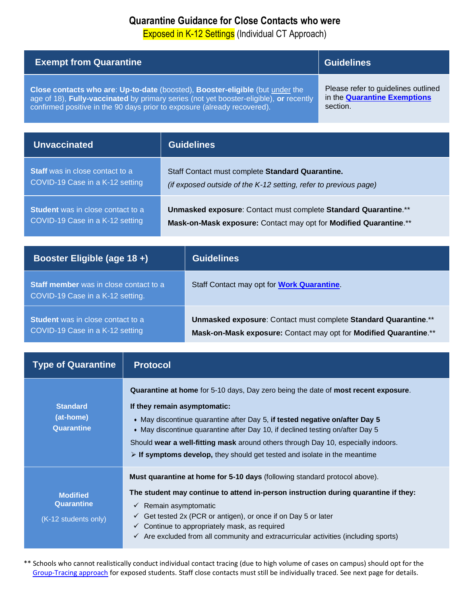## **Quarantine Guidance for Close Contacts who were**

Exposed in K-12 Settings (Individual CT Approach)

| <b>Exempt from Quarantine</b>                                                                                                                                                                                                                       |                                                                                                                                      |                                            | <b>Guidelines</b>                                                                      |
|-----------------------------------------------------------------------------------------------------------------------------------------------------------------------------------------------------------------------------------------------------|--------------------------------------------------------------------------------------------------------------------------------------|--------------------------------------------|----------------------------------------------------------------------------------------|
| Close contacts who are: Up-to-date (boosted), Booster-eligible (but under the<br>age of 18), Fully-vaccinated by primary series (not yet booster-eligible), or recently<br>confirmed positive in the 90 days prior to exposure (already recovered). |                                                                                                                                      |                                            | Please refer to guidelines outlined<br>in the <b>Quarantine Exemptions</b><br>section. |
| <b>Unvaccinated</b>                                                                                                                                                                                                                                 | <b>Guidelines</b>                                                                                                                    |                                            |                                                                                        |
| <b>Staff</b> was in close contact to a<br>COVID-19 Case in a K-12 setting                                                                                                                                                                           | Staff Contact must complete Standard Quarantine.<br>(if exposed outside of the K-12 setting, refer to previous page)                 |                                            |                                                                                        |
| <b>Student</b> was in close contact to a<br>COVID-19 Case in a K-12 setting                                                                                                                                                                         | Unmasked exposure: Contact must complete Standard Quarantine.**<br>Mask-on-Mask exposure: Contact may opt for Modified Quarantine.** |                                            |                                                                                        |
| Booster Eligible (age 18 +)                                                                                                                                                                                                                         |                                                                                                                                      | <b>Guidelines</b>                          |                                                                                        |
| $Path mannbar W(0) in 0$                                                                                                                                                                                                                            |                                                                                                                                      | Stoff Contact move ont for Wark Quaranting |                                                                                        |

| <b>Oldif Highliber Was III Cluse Contact to a</b><br>COVID-19 Case in a K-12 setting. | <b>Ultima Contract Thay Opt Tor Truth Quarantine</b>              |
|---------------------------------------------------------------------------------------|-------------------------------------------------------------------|
| <b>Student</b> was in close contact to a                                              | Unmasked exposure: Contact must complete Standard Quarantine.**   |
| COVID-19 Case in a K-12 setting                                                       | Mask-on-Mask exposure: Contact may opt for Modified Quarantine.** |

<span id="page-5-0"></span>

| <b>Type of Quarantine</b>                             | <b>Protocol</b>                                                                                                                                                                                                                                                                                                                                                                                                                                                            |
|-------------------------------------------------------|----------------------------------------------------------------------------------------------------------------------------------------------------------------------------------------------------------------------------------------------------------------------------------------------------------------------------------------------------------------------------------------------------------------------------------------------------------------------------|
| <b>Standard</b><br>(at-home)<br>Quarantine            | <b>Quarantine at home for 5-10 days, Day zero being the date of most recent exposure.</b><br>If they remain asymptomatic:<br>. May discontinue quarantine after Day 5, if tested negative on/after Day 5<br>• May discontinue quarantine after Day 10, if declined testing on/after Day 5<br>Should wear a well-fitting mask around others through Day 10, especially indoors.<br>$\triangleright$ If symptoms develop, they should get tested and isolate in the meantime |
| <b>Modified</b><br>Quarantine<br>(K-12 students only) | <b>Must quarantine at home for 5-10 days (following standard protocol above).</b><br>The student may continue to attend in-person instruction during quarantine if they:<br>Remain asymptomatic<br>$\checkmark$<br>Get tested 2x (PCR or antigen), or once if on Day 5 or later<br>$\checkmark$<br>Continue to appropriately mask, as required<br>$\checkmark$<br>Are excluded from all community and extracurricular activities (including sports)<br>$\checkmark$        |

\*\* Schools who cannot realistically conduct individual contact tracing (due to high volume of cases on campus) should opt for the [Group-Tracing approach](#page-6-0) for exposed students. Staff close contacts must still be individually traced. See next page for details.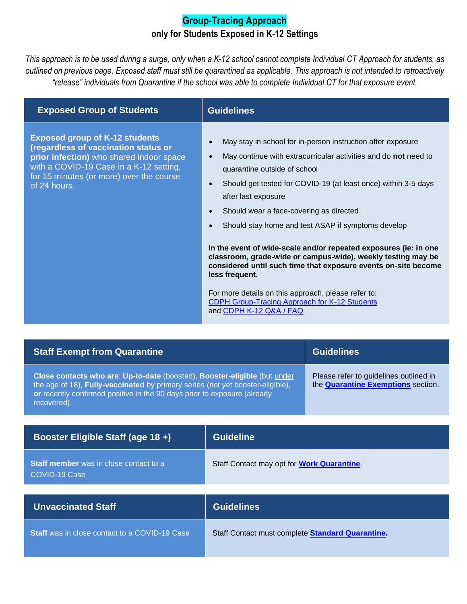### **Group-Tracing Approach only for Students Exposed in K-12 Settings**

<span id="page-6-0"></span>*This approach is to be used during a surge, only when a K-12 school cannot complete Individual CT Approach for students, as outlined on previous page. Exposed staff must still be quarantined as applicable. This approach is not intended to retroactively "release" individuals from Quarantine if the school was able to complete Individual CT for that exposure event.* 

| <b>Exposed Group of Students</b>                                                                                                                                                                                                 | <b>Guidelines</b>                                                                                                                                                                                                                                                                                                                                                                                            |
|----------------------------------------------------------------------------------------------------------------------------------------------------------------------------------------------------------------------------------|--------------------------------------------------------------------------------------------------------------------------------------------------------------------------------------------------------------------------------------------------------------------------------------------------------------------------------------------------------------------------------------------------------------|
| <b>Exposed group of K-12 students</b><br>(regardless of vaccination status or<br>prior infection) who shared indoor space<br>with a COVID-19 Case in a K-12 setting,<br>for 15 minutes (or more) over the course<br>of 24 hours. | May stay in school for in-person instruction after exposure<br>$\bullet$<br>May continue with extracurricular activities and do not need to<br>$\bullet$<br>quarantine outside of school<br>Should get tested for COVID-19 (at least once) within 3-5 days<br>$\bullet$<br>after last exposure<br>Should wear a face-covering as directed<br>$\bullet$<br>Should stay home and test ASAP if symptoms develop |
|                                                                                                                                                                                                                                  | In the event of wide-scale and/or repeated exposures (ie: in one<br>classroom, grade-wide or campus-wide), weekly testing may be<br>considered until such time that exposure events on-site become<br>less frequent.                                                                                                                                                                                         |
|                                                                                                                                                                                                                                  | For more details on this approach, please refer to:<br>CDPH Group-Tracing Approach for K-12 Students<br>and CDPH K-12 Q&A / FAQ                                                                                                                                                                                                                                                                              |

| <b>Staff Exempt from Quarantine</b>                                                                                                                                                                                                                    | <b>Guidelines</b>                                                                   |  |
|--------------------------------------------------------------------------------------------------------------------------------------------------------------------------------------------------------------------------------------------------------|-------------------------------------------------------------------------------------|--|
| Close contacts who are: Up-to-date (boosted), Booster-eligible (but under<br>the age of 18), Fully-vaccinated by primary series (not yet booster-eligible),<br>or recently confirmed positive in the 90 days prior to exposure (already<br>recovered). | Please refer to guidelines outlined in<br>the <b>Quarantine Exemptions</b> section. |  |
|                                                                                                                                                                                                                                                        |                                                                                     |  |
| Booster Eligible Staff (age 18+),                                                                                                                                                                                                                      | <b>Guideline</b>                                                                    |  |

| <b>Staff member</b> was in close contact to a<br>COVID-19 Case | Staff Contact may opt for <b>Work Quarantine</b> |
|----------------------------------------------------------------|--------------------------------------------------|
|                                                                |                                                  |
| <b>Unvaccinated Staff</b>                                      | <b>Guidelines</b>                                |

**Staff** was in close contact to a COVID-19 Case Staff Contact must complete **Standard Quarantine**.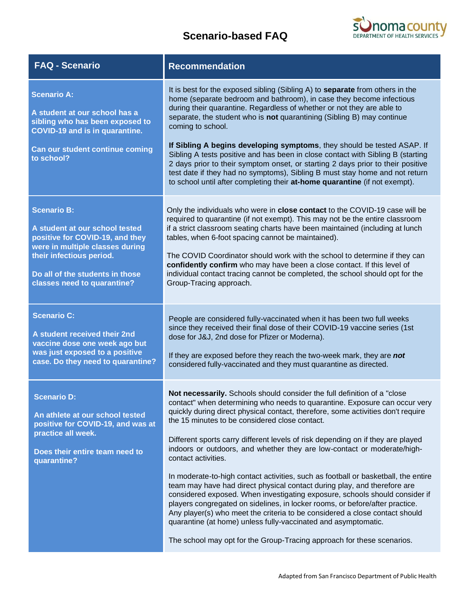## **Scenario-based FAQ**



| <b>FAQ - Scenario</b>                                                                                                                                                                                                    | <b>Recommendation</b>                                                                                                                                                                                                                                                                                                                                                                                                                                                                                                                                                                                                                                                                                                                                                                                                                                                                                                                                                                                                                         |
|--------------------------------------------------------------------------------------------------------------------------------------------------------------------------------------------------------------------------|-----------------------------------------------------------------------------------------------------------------------------------------------------------------------------------------------------------------------------------------------------------------------------------------------------------------------------------------------------------------------------------------------------------------------------------------------------------------------------------------------------------------------------------------------------------------------------------------------------------------------------------------------------------------------------------------------------------------------------------------------------------------------------------------------------------------------------------------------------------------------------------------------------------------------------------------------------------------------------------------------------------------------------------------------|
| <b>Scenario A:</b><br>A student at our school has a<br>sibling who has been exposed to<br><b>COVID-19 and is in quarantine.</b><br>Can our student continue coming<br>to school?                                         | It is best for the exposed sibling (Sibling A) to <b>separate</b> from others in the<br>home (separate bedroom and bathroom), in case they become infectious<br>during their quarantine. Regardless of whether or not they are able to<br>separate, the student who is not quarantining (Sibling B) may continue<br>coming to school.<br>If Sibling A begins developing symptoms, they should be tested ASAP. If<br>Sibling A tests positive and has been in close contact with Sibling B (starting<br>2 days prior to their symptom onset, or starting 2 days prior to their positive<br>test date if they had no symptoms), Sibling B must stay home and not return<br>to school until after completing their at-home quarantine (if not exempt).                                                                                                                                                                                                                                                                                           |
| <b>Scenario B:</b><br>A student at our school tested<br>positive for COVID-19, and they<br>were in multiple classes during<br>their infectious period.<br>Do all of the students in those<br>classes need to quarantine? | Only the individuals who were in close contact to the COVID-19 case will be<br>required to quarantine (if not exempt). This may not be the entire classroom<br>if a strict classroom seating charts have been maintained (including at lunch<br>tables, when 6-foot spacing cannot be maintained).<br>The COVID Coordinator should work with the school to determine if they can<br>confidently confirm who may have been a close contact. If this level of<br>individual contact tracing cannot be completed, the school should opt for the<br>Group-Tracing approach.                                                                                                                                                                                                                                                                                                                                                                                                                                                                       |
| <b>Scenario C:</b><br>A student received their 2nd<br>vaccine dose one week ago but<br>was just exposed to a positive<br>case. Do they need to quarantine?                                                               | People are considered fully-vaccinated when it has been two full weeks<br>since they received their final dose of their COVID-19 vaccine series (1st<br>dose for J&J, 2nd dose for Pfizer or Moderna).<br>If they are exposed before they reach the two-week mark, they are not<br>considered fully-vaccinated and they must quarantine as directed.                                                                                                                                                                                                                                                                                                                                                                                                                                                                                                                                                                                                                                                                                          |
| <b>Scenario D:</b><br>An athlete at our school tested<br>positive for COVID-19, and was at<br>practice all week.<br>Does their entire team need to<br>quarantine?                                                        | Not necessarily. Schools should consider the full definition of a "close<br>contact" when determining who needs to quarantine. Exposure can occur very<br>quickly during direct physical contact, therefore, some activities don't require<br>the 15 minutes to be considered close contact.<br>Different sports carry different levels of risk depending on if they are played<br>indoors or outdoors, and whether they are low-contact or moderate/high-<br>contact activities.<br>In moderate-to-high contact activities, such as football or basketball, the entire<br>team may have had direct physical contact during play, and therefore are<br>considered exposed. When investigating exposure, schools should consider if<br>players congregated on sidelines, in locker rooms, or before/after practice.<br>Any player(s) who meet the criteria to be considered a close contact should<br>quarantine (at home) unless fully-vaccinated and asymptomatic.<br>The school may opt for the Group-Tracing approach for these scenarios. |